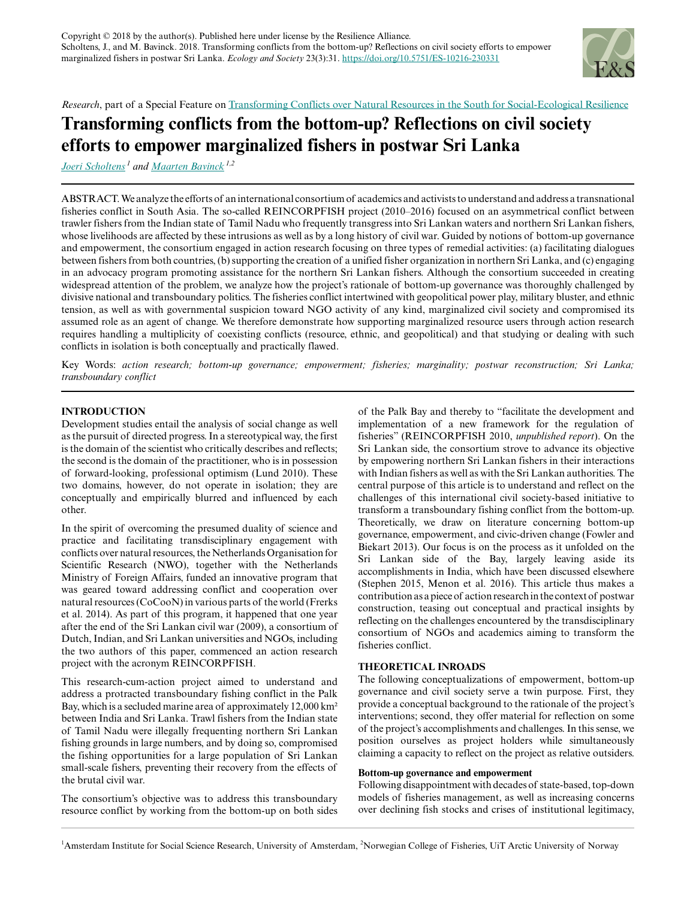

*Research*, part of a Special Feature on [Transforming Conflicts over Natural Resources in the South for Social-Ecological Resilience](https://www.ecologyandsociety.org/viewissue.php?sf=131)

# **Transforming conflicts from the bottom-up? Reflections on civil society efforts to empower marginalized fishers in postwar Sri Lanka**

*[Joeri Scholtens](mailto:j.scholtens@uva.nl)<sup>1</sup> and [Maarten Bavinck](mailto:J.M.Bavinck@uva.nl) 1,2*

ABSTRACT. We analyze the efforts of an international consortium of academics and activists to understand and address a transnational fisheries conflict in South Asia. The so-called REINCORPFISH project (2010–2016) focused on an asymmetrical conflict between trawler fishers from the Indian state of Tamil Nadu who frequently transgress into Sri Lankan waters and northern Sri Lankan fishers, whose livelihoods are affected by these intrusions as well as by a long history of civil war. Guided by notions of bottom-up governance and empowerment, the consortium engaged in action research focusing on three types of remedial activities: (a) facilitating dialogues between fishers from both countries, (b) supporting the creation of a unified fisher organization in northern Sri Lanka, and (c) engaging in an advocacy program promoting assistance for the northern Sri Lankan fishers. Although the consortium succeeded in creating widespread attention of the problem, we analyze how the project's rationale of bottom-up governance was thoroughly challenged by divisive national and transboundary politics. The fisheries conflict intertwined with geopolitical power play, military bluster, and ethnic tension, as well as with governmental suspicion toward NGO activity of any kind, marginalized civil society and compromised its assumed role as an agent of change. We therefore demonstrate how supporting marginalized resource users through action research requires handling a multiplicity of coexisting conflicts (resource, ethnic, and geopolitical) and that studying or dealing with such conflicts in isolation is both conceptually and practically flawed.

Key Words: *action research; bottom-up governance; empowerment; fisheries; marginality; postwar reconstruction; Sri Lanka; transboundary conflict*

# **INTRODUCTION**

Development studies entail the analysis of social change as well as the pursuit of directed progress. In a stereotypical way, the first is the domain of the scientist who critically describes and reflects; the second is the domain of the practitioner, who is in possession of forward-looking, professional optimism (Lund 2010). These two domains, however, do not operate in isolation; they are conceptually and empirically blurred and influenced by each other.

In the spirit of overcoming the presumed duality of science and practice and facilitating transdisciplinary engagement with conflicts over natural resources, the Netherlands Organisation for Scientific Research (NWO), together with the Netherlands Ministry of Foreign Affairs, funded an innovative program that was geared toward addressing conflict and cooperation over natural resources (CoCooN) in various parts of the world (Frerks et al. 2014). As part of this program, it happened that one year after the end of the Sri Lankan civil war (2009), a consortium of Dutch, Indian, and Sri Lankan universities and NGOs, including the two authors of this paper, commenced an action research project with the acronym REINCORPFISH.

This research-cum-action project aimed to understand and address a protracted transboundary fishing conflict in the Palk Bay, which is a secluded marine area of approximately 12,000 km² between India and Sri Lanka. Trawl fishers from the Indian state of Tamil Nadu were illegally frequenting northern Sri Lankan fishing grounds in large numbers, and by doing so, compromised the fishing opportunities for a large population of Sri Lankan small-scale fishers, preventing their recovery from the effects of the brutal civil war.

The consortium's objective was to address this transboundary resource conflict by working from the bottom-up on both sides of the Palk Bay and thereby to "facilitate the development and implementation of a new framework for the regulation of fisheries" (REINCORPFISH 2010, *unpublished report*). On the Sri Lankan side, the consortium strove to advance its objective by empowering northern Sri Lankan fishers in their interactions with Indian fishers as well as with the Sri Lankan authorities. The central purpose of this article is to understand and reflect on the challenges of this international civil society-based initiative to transform a transboundary fishing conflict from the bottom-up. Theoretically, we draw on literature concerning bottom-up governance, empowerment, and civic-driven change (Fowler and Biekart 2013). Our focus is on the process as it unfolded on the Sri Lankan side of the Bay, largely leaving aside its accomplishments in India, which have been discussed elsewhere (Stephen 2015, Menon et al. 2016). This article thus makes a contribution as a piece of action research in the context of postwar construction, teasing out conceptual and practical insights by reflecting on the challenges encountered by the transdisciplinary consortium of NGOs and academics aiming to transform the fisheries conflict.

## **THEORETICAL INROADS**

The following conceptualizations of empowerment, bottom-up governance and civil society serve a twin purpose. First, they provide a conceptual background to the rationale of the project's interventions; second, they offer material for reflection on some of the project's accomplishments and challenges. In this sense, we position ourselves as project holders while simultaneously claiming a capacity to reflect on the project as relative outsiders.

#### **Bottom-up governance and empowerment**

Following disappointment with decades of state-based, top-down models of fisheries management, as well as increasing concerns over declining fish stocks and crises of institutional legitimacy,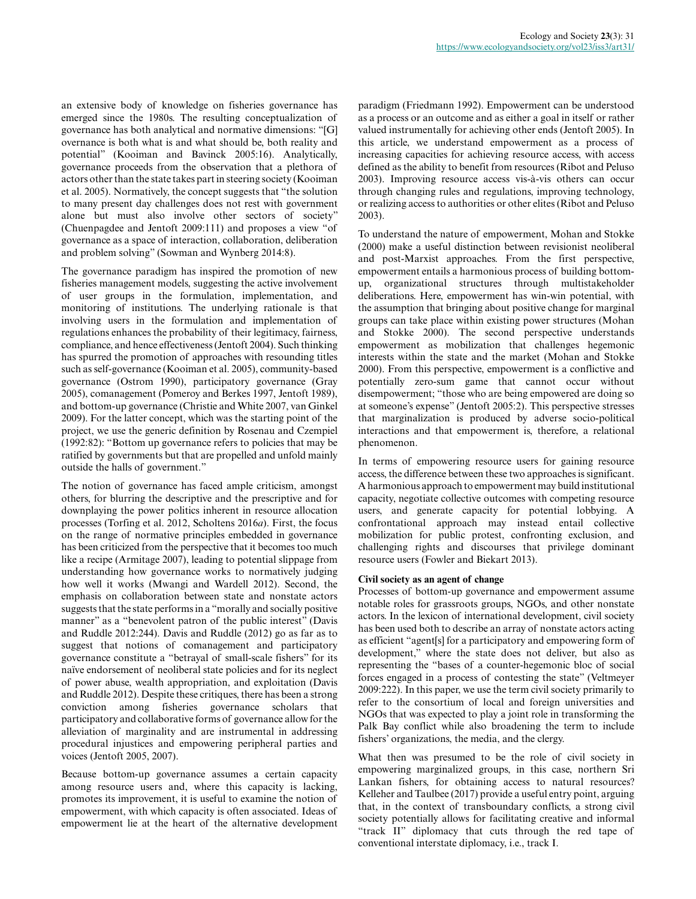an extensive body of knowledge on fisheries governance has emerged since the 1980s. The resulting conceptualization of governance has both analytical and normative dimensions: "[G] overnance is both what is and what should be, both reality and potential" (Kooiman and Bavinck 2005:16). Analytically, governance proceeds from the observation that a plethora of actors other than the state takes part in steering society (Kooiman et al. 2005). Normatively, the concept suggests that "the solution to many present day challenges does not rest with government alone but must also involve other sectors of society" (Chuenpagdee and Jentoft 2009:111) and proposes a view "of governance as a space of interaction, collaboration, deliberation and problem solving" (Sowman and Wynberg 2014:8).

The governance paradigm has inspired the promotion of new fisheries management models, suggesting the active involvement of user groups in the formulation, implementation, and monitoring of institutions. The underlying rationale is that involving users in the formulation and implementation of regulations enhances the probability of their legitimacy, fairness, compliance, and hence effectiveness (Jentoft 2004). Such thinking has spurred the promotion of approaches with resounding titles such as self-governance (Kooiman et al. 2005), community-based governance (Ostrom 1990), participatory governance (Gray 2005), comanagement (Pomeroy and Berkes 1997, Jentoft 1989), and bottom-up governance (Christie and White 2007, van Ginkel 2009). For the latter concept, which was the starting point of the project, we use the generic definition by Rosenau and Czempiel (1992:82): "Bottom up governance refers to policies that may be ratified by governments but that are propelled and unfold mainly outside the halls of government."

The notion of governance has faced ample criticism, amongst others, for blurring the descriptive and the prescriptive and for downplaying the power politics inherent in resource allocation processes (Torfing et al. 2012, Scholtens 2016*a*). First, the focus on the range of normative principles embedded in governance has been criticized from the perspective that it becomes too much like a recipe (Armitage 2007), leading to potential slippage from understanding how governance works to normatively judging how well it works (Mwangi and Wardell 2012). Second, the emphasis on collaboration between state and nonstate actors suggests that the state performs in a "morally and socially positive manner" as a "benevolent patron of the public interest" (Davis and Ruddle 2012:244). Davis and Ruddle (2012) go as far as to suggest that notions of comanagement and participatory governance constitute a "betrayal of small-scale fishers" for its naïve endorsement of neoliberal state policies and for its neglect of power abuse, wealth appropriation, and exploitation (Davis and Ruddle 2012). Despite these critiques, there has been a strong conviction among fisheries governance scholars that participatory and collaborative forms of governance allow for the alleviation of marginality and are instrumental in addressing procedural injustices and empowering peripheral parties and voices (Jentoft 2005, 2007).

Because bottom-up governance assumes a certain capacity among resource users and, where this capacity is lacking, promotes its improvement, it is useful to examine the notion of empowerment, with which capacity is often associated. Ideas of empowerment lie at the heart of the alternative development

paradigm (Friedmann 1992). Empowerment can be understood as a process or an outcome and as either a goal in itself or rather valued instrumentally for achieving other ends (Jentoft 2005). In this article, we understand empowerment as a process of increasing capacities for achieving resource access, with access defined as the ability to benefit from resources (Ribot and Peluso 2003). Improving resource access vis-à-vis others can occur through changing rules and regulations, improving technology, or realizing access to authorities or other elites (Ribot and Peluso 2003).

To understand the nature of empowerment, Mohan and Stokke (2000) make a useful distinction between revisionist neoliberal and post-Marxist approaches. From the first perspective, empowerment entails a harmonious process of building bottomup, organizational structures through multistakeholder deliberations. Here, empowerment has win-win potential, with the assumption that bringing about positive change for marginal groups can take place within existing power structures (Mohan and Stokke 2000). The second perspective understands empowerment as mobilization that challenges hegemonic interests within the state and the market (Mohan and Stokke 2000). From this perspective, empowerment is a conflictive and potentially zero-sum game that cannot occur without disempowerment; "those who are being empowered are doing so at someone's expense" (Jentoft 2005:2). This perspective stresses that marginalization is produced by adverse socio-political interactions and that empowerment is, therefore, a relational phenomenon.

In terms of empowering resource users for gaining resource access, the difference between these two approaches is significant. A harmonious approach to empowerment may build institutional capacity, negotiate collective outcomes with competing resource users, and generate capacity for potential lobbying. A confrontational approach may instead entail collective mobilization for public protest, confronting exclusion, and challenging rights and discourses that privilege dominant resource users (Fowler and Biekart 2013).

#### **Civil society as an agent of change**

Processes of bottom-up governance and empowerment assume notable roles for grassroots groups, NGOs, and other nonstate actors. In the lexicon of international development, civil society has been used both to describe an array of nonstate actors acting as efficient "agent[s] for a participatory and empowering form of development," where the state does not deliver, but also as representing the "bases of a counter-hegemonic bloc of social forces engaged in a process of contesting the state" (Veltmeyer 2009:222). In this paper, we use the term civil society primarily to refer to the consortium of local and foreign universities and NGOs that was expected to play a joint role in transforming the Palk Bay conflict while also broadening the term to include fishers' organizations, the media, and the clergy.

What then was presumed to be the role of civil society in empowering marginalized groups, in this case, northern Sri Lankan fishers, for obtaining access to natural resources? Kelleher and Taulbee (2017) provide a useful entry point, arguing that, in the context of transboundary conflicts, a strong civil society potentially allows for facilitating creative and informal "track II" diplomacy that cuts through the red tape of conventional interstate diplomacy, i.e., track I.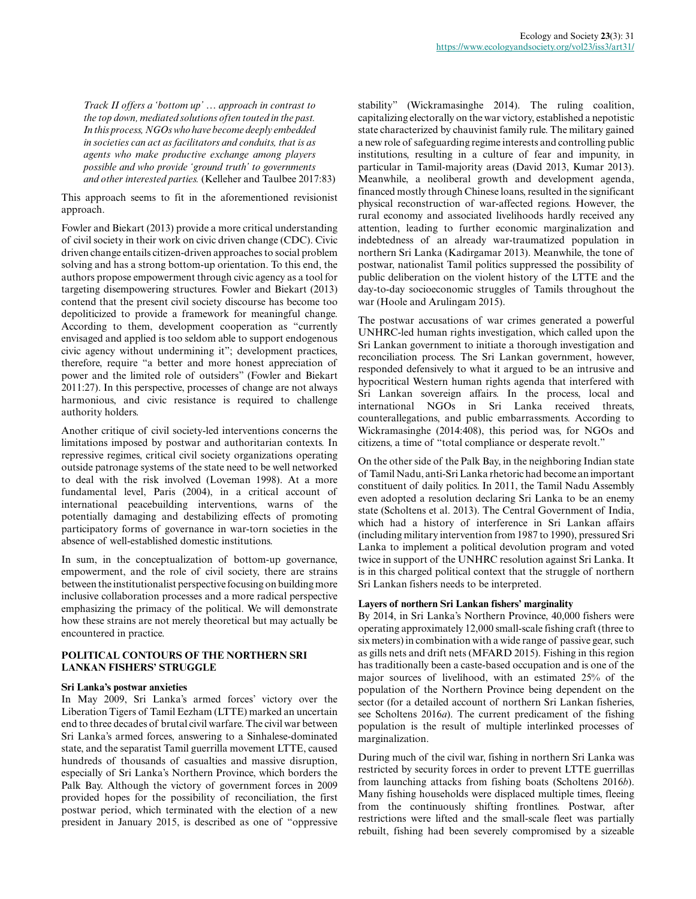*Track II offers a 'bottom up' … approach in contrast to the top down, mediated solutions often touted in the past. In this process, NGOs who have become deeply embedded in societies can act as facilitators and conduits, that is as agents who make productive exchange among players possible and who provide 'ground truth' to governments and other interested parties.* (Kelleher and Taulbee 2017:83)

This approach seems to fit in the aforementioned revisionist approach.

Fowler and Biekart (2013) provide a more critical understanding of civil society in their work on civic driven change (CDC). Civic driven change entails citizen-driven approaches to social problem solving and has a strong bottom-up orientation. To this end, the authors propose empowerment through civic agency as a tool for targeting disempowering structures. Fowler and Biekart (2013) contend that the present civil society discourse has become too depoliticized to provide a framework for meaningful change. According to them, development cooperation as "currently envisaged and applied is too seldom able to support endogenous civic agency without undermining it"; development practices, therefore, require "a better and more honest appreciation of power and the limited role of outsiders" (Fowler and Biekart 2011:27). In this perspective, processes of change are not always harmonious, and civic resistance is required to challenge authority holders.

Another critique of civil society-led interventions concerns the limitations imposed by postwar and authoritarian contexts. In repressive regimes, critical civil society organizations operating outside patronage systems of the state need to be well networked to deal with the risk involved (Loveman 1998). At a more fundamental level, Paris (2004), in a critical account of international peacebuilding interventions, warns of the potentially damaging and destabilizing effects of promoting participatory forms of governance in war-torn societies in the absence of well-established domestic institutions.

In sum, in the conceptualization of bottom-up governance, empowerment, and the role of civil society, there are strains between the institutionalist perspective focusing on building more inclusive collaboration processes and a more radical perspective emphasizing the primacy of the political. We will demonstrate how these strains are not merely theoretical but may actually be encountered in practice.

## **POLITICAL CONTOURS OF THE NORTHERN SRI LANKAN FISHERS' STRUGGLE**

## **Sri Lanka's postwar anxieties**

In May 2009, Sri Lanka's armed forces' victory over the Liberation Tigers of Tamil Eezham (LTTE) marked an uncertain end to three decades of brutal civil warfare. The civil war between Sri Lanka's armed forces, answering to a Sinhalese-dominated state, and the separatist Tamil guerrilla movement LTTE, caused hundreds of thousands of casualties and massive disruption, especially of Sri Lanka's Northern Province, which borders the Palk Bay. Although the victory of government forces in 2009 provided hopes for the possibility of reconciliation, the first postwar period, which terminated with the election of a new president in January 2015, is described as one of "oppressive

stability" (Wickramasinghe 2014). The ruling coalition, capitalizing electorally on the war victory, established a nepotistic state characterized by chauvinist family rule. The military gained a new role of safeguarding regime interests and controlling public institutions, resulting in a culture of fear and impunity, in particular in Tamil-majority areas (David 2013, Kumar 2013). Meanwhile, a neoliberal growth and development agenda, financed mostly through Chinese loans, resulted in the significant physical reconstruction of war-affected regions. However, the rural economy and associated livelihoods hardly received any attention, leading to further economic marginalization and indebtedness of an already war-traumatized population in northern Sri Lanka (Kadirgamar 2013). Meanwhile, the tone of postwar, nationalist Tamil politics suppressed the possibility of public deliberation on the violent history of the LTTE and the day-to-day socioeconomic struggles of Tamils throughout the war (Hoole and Arulingam 2015).

The postwar accusations of war crimes generated a powerful UNHRC-led human rights investigation, which called upon the Sri Lankan government to initiate a thorough investigation and reconciliation process. The Sri Lankan government, however, responded defensively to what it argued to be an intrusive and hypocritical Western human rights agenda that interfered with Sri Lankan sovereign affairs. In the process, local and international NGOs in Sri Lanka received threats, counterallegations, and public embarrassments. According to Wickramasinghe (2014:408), this period was, for NGOs and citizens, a time of "total compliance or desperate revolt."

On the other side of the Palk Bay, in the neighboring Indian state of Tamil Nadu, anti-Sri Lanka rhetoric had become an important constituent of daily politics. In 2011, the Tamil Nadu Assembly even adopted a resolution declaring Sri Lanka to be an enemy state (Scholtens et al. 2013). The Central Government of India, which had a history of interference in Sri Lankan affairs (including military intervention from 1987 to 1990), pressured Sri Lanka to implement a political devolution program and voted twice in support of the UNHRC resolution against Sri Lanka. It is in this charged political context that the struggle of northern Sri Lankan fishers needs to be interpreted.

## **Layers of northern Sri Lankan fishers' marginality**

By 2014, in Sri Lanka's Northern Province, 40,000 fishers were operating approximately 12,000 small-scale fishing craft (three to six meters) in combination with a wide range of passive gear, such as gills nets and drift nets (MFARD 2015). Fishing in this region has traditionally been a caste-based occupation and is one of the major sources of livelihood, with an estimated 25% of the population of the Northern Province being dependent on the sector (for a detailed account of northern Sri Lankan fisheries, see Scholtens 2016*a*). The current predicament of the fishing population is the result of multiple interlinked processes of marginalization.

During much of the civil war, fishing in northern Sri Lanka was restricted by security forces in order to prevent LTTE guerrillas from launching attacks from fishing boats (Scholtens 2016*b*). Many fishing households were displaced multiple times, fleeing from the continuously shifting frontlines. Postwar, after restrictions were lifted and the small-scale fleet was partially rebuilt, fishing had been severely compromised by a sizeable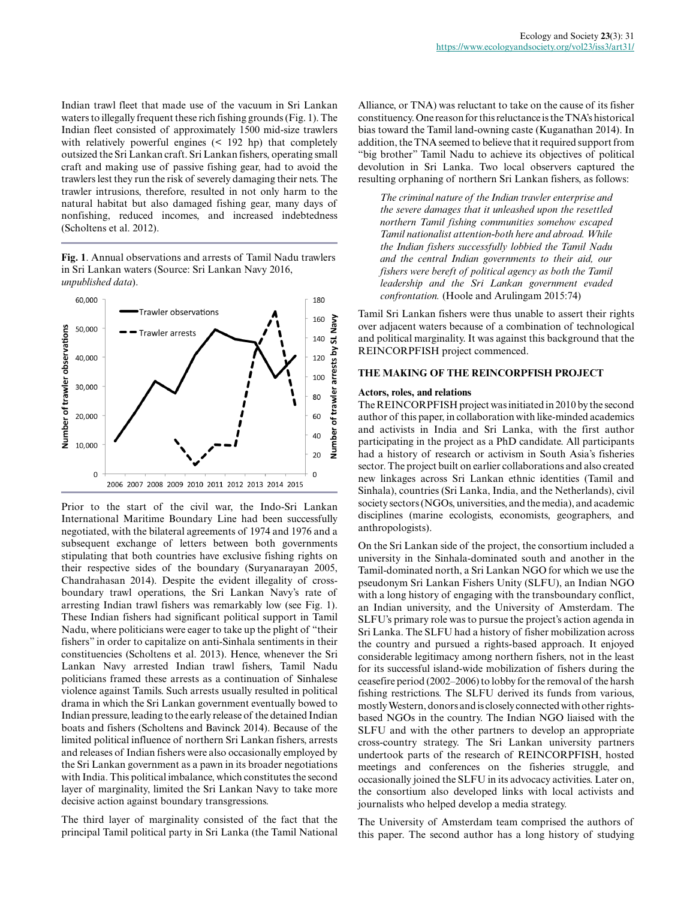Indian trawl fleet that made use of the vacuum in Sri Lankan waters to illegally frequent these rich fishing grounds (Fig. 1). The Indian fleet consisted of approximately 1500 mid-size trawlers with relatively powerful engines (< 192 hp) that completely outsized the Sri Lankan craft. Sri Lankan fishers, operating small craft and making use of passive fishing gear, had to avoid the trawlers lest they run the risk of severely damaging their nets. The trawler intrusions, therefore, resulted in not only harm to the natural habitat but also damaged fishing gear, many days of nonfishing, reduced incomes, and increased indebtedness (Scholtens et al. 2012).

**Fig. 1**. Annual observations and arrests of Tamil Nadu trawlers in Sri Lankan waters (Source: Sri Lankan Navy 2016, *unpublished data*).



Prior to the start of the civil war, the Indo-Sri Lankan International Maritime Boundary Line had been successfully negotiated, with the bilateral agreements of 1974 and 1976 and a subsequent exchange of letters between both governments stipulating that both countries have exclusive fishing rights on their respective sides of the boundary (Suryanarayan 2005, Chandrahasan 2014). Despite the evident illegality of crossboundary trawl operations, the Sri Lankan Navy's rate of arresting Indian trawl fishers was remarkably low (see Fig. 1). These Indian fishers had significant political support in Tamil Nadu, where politicians were eager to take up the plight of "their fishers" in order to capitalize on anti-Sinhala sentiments in their constituencies (Scholtens et al. 2013). Hence, whenever the Sri Lankan Navy arrested Indian trawl fishers, Tamil Nadu politicians framed these arrests as a continuation of Sinhalese violence against Tamils. Such arrests usually resulted in political drama in which the Sri Lankan government eventually bowed to Indian pressure, leading to the early release of the detained Indian boats and fishers (Scholtens and Bavinck 2014). Because of the limited political influence of northern Sri Lankan fishers, arrests and releases of Indian fishers were also occasionally employed by the Sri Lankan government as a pawn in its broader negotiations with India. This political imbalance, which constitutes the second layer of marginality, limited the Sri Lankan Navy to take more decisive action against boundary transgressions.

The third layer of marginality consisted of the fact that the principal Tamil political party in Sri Lanka (the Tamil National Alliance, or TNA) was reluctant to take on the cause of its fisher constituency. One reason for this reluctance is the TNA's historical bias toward the Tamil land-owning caste (Kuganathan 2014). In addition, the TNA seemed to believe that it required support from "big brother" Tamil Nadu to achieve its objectives of political devolution in Sri Lanka. Two local observers captured the resulting orphaning of northern Sri Lankan fishers, as follows:

*The criminal nature of the Indian trawler enterprise and the severe damages that it unleashed upon the resettled northern Tamil fishing communities somehow escaped Tamil nationalist attention-both here and abroad. While the Indian fishers successfully lobbied the Tamil Nadu and the central Indian governments to their aid, our fishers were bereft of political agency as both the Tamil leadership and the Sri Lankan government evaded confrontation.* (Hoole and Arulingam 2015:74)

Tamil Sri Lankan fishers were thus unable to assert their rights over adjacent waters because of a combination of technological and political marginality. It was against this background that the REINCORPFISH project commenced.

# **THE MAKING OF THE REINCORPFISH PROJECT**

#### **Actors, roles, and relations**

The REINCORPFISH project was initiated in 2010 by the second author of this paper, in collaboration with like-minded academics and activists in India and Sri Lanka, with the first author participating in the project as a PhD candidate. All participants had a history of research or activism in South Asia's fisheries sector. The project built on earlier collaborations and also created new linkages across Sri Lankan ethnic identities (Tamil and Sinhala), countries (Sri Lanka, India, and the Netherlands), civil society sectors (NGOs, universities, and the media), and academic disciplines (marine ecologists, economists, geographers, and anthropologists).

On the Sri Lankan side of the project, the consortium included a university in the Sinhala-dominated south and another in the Tamil-dominated north, a Sri Lankan NGO for which we use the pseudonym Sri Lankan Fishers Unity (SLFU), an Indian NGO with a long history of engaging with the transboundary conflict, an Indian university, and the University of Amsterdam. The SLFU's primary role was to pursue the project's action agenda in Sri Lanka. The SLFU had a history of fisher mobilization across the country and pursued a rights-based approach. It enjoyed considerable legitimacy among northern fishers, not in the least for its successful island-wide mobilization of fishers during the ceasefire period (2002–2006) to lobby for the removal of the harsh fishing restrictions. The SLFU derived its funds from various, mostly Western, donors and is closely connected with other rightsbased NGOs in the country. The Indian NGO liaised with the SLFU and with the other partners to develop an appropriate cross-country strategy. The Sri Lankan university partners undertook parts of the research of REINCORPFISH, hosted meetings and conferences on the fisheries struggle, and occasionally joined the SLFU in its advocacy activities. Later on, the consortium also developed links with local activists and journalists who helped develop a media strategy.

The University of Amsterdam team comprised the authors of this paper. The second author has a long history of studying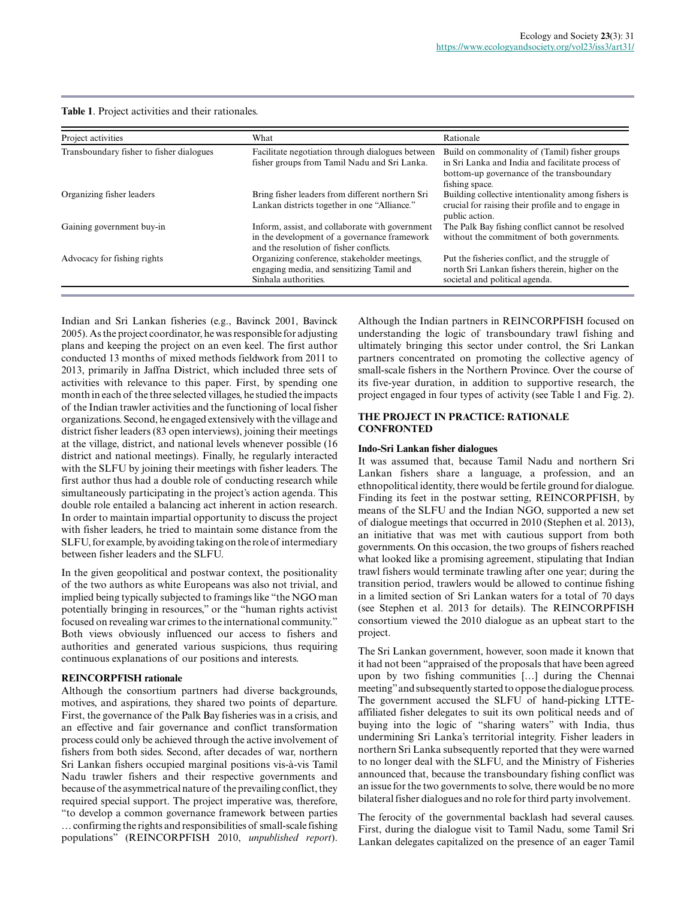| <b>Table 1.</b> Project activities and their rationales. |  |
|----------------------------------------------------------|--|
|----------------------------------------------------------|--|

| Project activities                       | What                                                                                                                                       | Rationale                                                                                                                                                        |
|------------------------------------------|--------------------------------------------------------------------------------------------------------------------------------------------|------------------------------------------------------------------------------------------------------------------------------------------------------------------|
| Transboundary fisher to fisher dialogues | Facilitate negotiation through dialogues between<br>fisher groups from Tamil Nadu and Sri Lanka.                                           | Build on commonality of (Tamil) fisher groups<br>in Sri Lanka and India and facilitate process of<br>bottom-up governance of the transboundary<br>fishing space. |
| Organizing fisher leaders                | Bring fisher leaders from different northern Sri<br>Lankan districts together in one "Alliance."                                           | Building collective intentionality among fishers is<br>crucial for raising their profile and to engage in<br>public action.                                      |
| Gaining government buy-in                | Inform, assist, and collaborate with government<br>in the development of a governance framework<br>and the resolution of fisher conflicts. | The Palk Bay fishing conflict cannot be resolved<br>without the commitment of both governments.                                                                  |
| Advocacy for fishing rights              | Organizing conference, stakeholder meetings,<br>engaging media, and sensitizing Tamil and<br>Sinhala authorities.                          | Put the fisheries conflict, and the struggle of<br>north Sri Lankan fishers therein, higher on the<br>societal and political agenda.                             |

Indian and Sri Lankan fisheries (e.g., Bavinck 2001, Bavinck 2005). As the project coordinator, he was responsible for adjusting plans and keeping the project on an even keel. The first author conducted 13 months of mixed methods fieldwork from 2011 to 2013, primarily in Jaffna District, which included three sets of activities with relevance to this paper. First, by spending one month in each of the three selected villages, he studied the impacts of the Indian trawler activities and the functioning of local fisher organizations. Second, he engaged extensively with the village and district fisher leaders (83 open interviews), joining their meetings at the village, district, and national levels whenever possible (16 district and national meetings). Finally, he regularly interacted with the SLFU by joining their meetings with fisher leaders. The first author thus had a double role of conducting research while simultaneously participating in the project's action agenda. This double role entailed a balancing act inherent in action research. In order to maintain impartial opportunity to discuss the project with fisher leaders, he tried to maintain some distance from the SLFU, for example, by avoiding taking on the role of intermediary between fisher leaders and the SLFU.

In the given geopolitical and postwar context, the positionality of the two authors as white Europeans was also not trivial, and implied being typically subjected to framings like "the NGO man potentially bringing in resources," or the "human rights activist focused on revealing war crimes to the international community." Both views obviously influenced our access to fishers and authorities and generated various suspicions, thus requiring continuous explanations of our positions and interests.

## **REINCORPFISH rationale**

Although the consortium partners had diverse backgrounds, motives, and aspirations, they shared two points of departure. First, the governance of the Palk Bay fisheries was in a crisis, and an effective and fair governance and conflict transformation process could only be achieved through the active involvement of fishers from both sides. Second, after decades of war, northern Sri Lankan fishers occupied marginal positions vis-à-vis Tamil Nadu trawler fishers and their respective governments and because of the asymmetrical nature of the prevailing conflict, they required special support. The project imperative was, therefore, "to develop a common governance framework between parties … confirming the rights and responsibilities of small-scale fishing populations" (REINCORPFISH 2010, *unpublished report*).

Although the Indian partners in REINCORPFISH focused on understanding the logic of transboundary trawl fishing and ultimately bringing this sector under control, the Sri Lankan partners concentrated on promoting the collective agency of small-scale fishers in the Northern Province. Over the course of its five-year duration, in addition to supportive research, the project engaged in four types of activity (see Table 1 and Fig. 2).

## **THE PROJECT IN PRACTICE: RATIONALE CONFRONTED**

#### **Indo-Sri Lankan fisher dialogues**

It was assumed that, because Tamil Nadu and northern Sri Lankan fishers share a language, a profession, and an ethnopolitical identity, there would be fertile ground for dialogue. Finding its feet in the postwar setting, REINCORPFISH, by means of the SLFU and the Indian NGO, supported a new set of dialogue meetings that occurred in 2010 (Stephen et al. 2013), an initiative that was met with cautious support from both governments. On this occasion, the two groups of fishers reached what looked like a promising agreement, stipulating that Indian trawl fishers would terminate trawling after one year; during the transition period, trawlers would be allowed to continue fishing in a limited section of Sri Lankan waters for a total of 70 days (see Stephen et al. 2013 for details). The REINCORPFISH consortium viewed the 2010 dialogue as an upbeat start to the project.

The Sri Lankan government, however, soon made it known that it had not been "appraised of the proposals that have been agreed upon by two fishing communities […] during the Chennai meeting" and subsequently started to oppose the dialogue process. The government accused the SLFU of hand-picking LTTEaffiliated fisher delegates to suit its own political needs and of buying into the logic of "sharing waters" with India, thus undermining Sri Lanka's territorial integrity. Fisher leaders in northern Sri Lanka subsequently reported that they were warned to no longer deal with the SLFU, and the Ministry of Fisheries announced that, because the transboundary fishing conflict was an issue for the two governments to solve, there would be no more bilateral fisher dialogues and no role for third party involvement.

The ferocity of the governmental backlash had several causes. First, during the dialogue visit to Tamil Nadu, some Tamil Sri Lankan delegates capitalized on the presence of an eager Tamil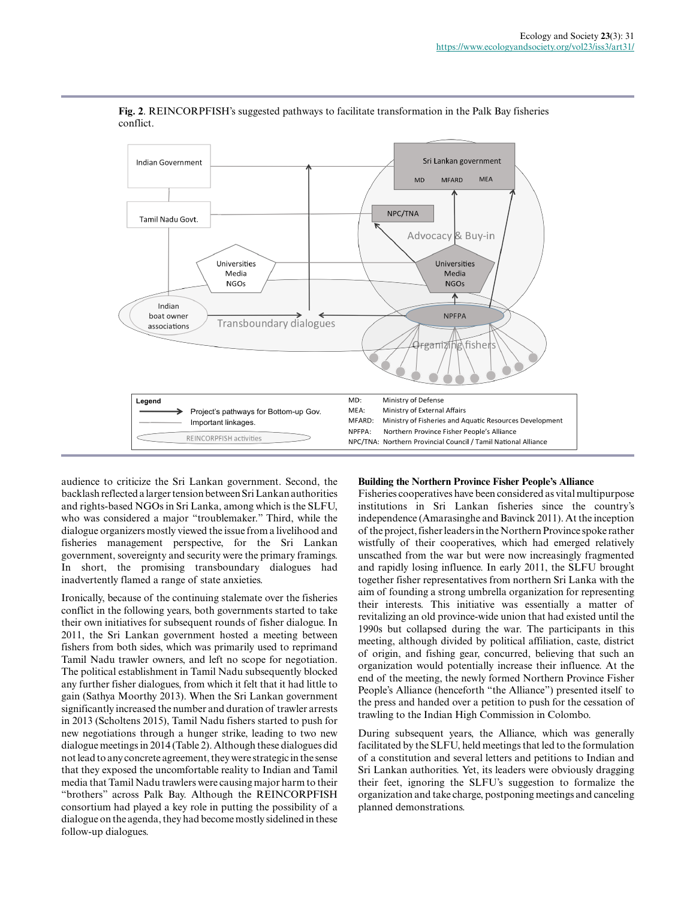

**Fig. 2**. REINCORPFISH's suggested pathways to facilitate transformation in the Palk Bay fisheries conflict.

audience to criticize the Sri Lankan government. Second, the backlash reflected a larger tension between Sri Lankan authorities and rights-based NGOs in Sri Lanka, among which is the SLFU, who was considered a major "troublemaker." Third, while the dialogue organizers mostly viewed the issue from a livelihood and fisheries management perspective, for the Sri Lankan government, sovereignty and security were the primary framings. In short, the promising transboundary dialogues had inadvertently flamed a range of state anxieties.

Ironically, because of the continuing stalemate over the fisheries conflict in the following years, both governments started to take their own initiatives for subsequent rounds of fisher dialogue. In 2011, the Sri Lankan government hosted a meeting between fishers from both sides, which was primarily used to reprimand Tamil Nadu trawler owners, and left no scope for negotiation. The political establishment in Tamil Nadu subsequently blocked any further fisher dialogues, from which it felt that it had little to gain (Sathya Moorthy 2013). When the Sri Lankan government significantly increased the number and duration of trawler arrests in 2013 (Scholtens 2015), Tamil Nadu fishers started to push for new negotiations through a hunger strike, leading to two new dialogue meetings in 2014 (Table 2). Although these dialogues did not lead to any concrete agreement, they were strategic in the sense that they exposed the uncomfortable reality to Indian and Tamil media that Tamil Nadu trawlers were causing major harm to their "brothers" across Palk Bay. Although the REINCORPFISH consortium had played a key role in putting the possibility of a dialogue on the agenda, they had become mostly sidelined in these follow-up dialogues.

#### **Building the Northern Province Fisher People's Alliance**

Fisheries cooperatives have been considered as vital multipurpose institutions in Sri Lankan fisheries since the country's independence (Amarasinghe and Bavinck 2011). At the inception of the project, fisher leaders in the Northern Province spoke rather wistfully of their cooperatives, which had emerged relatively unscathed from the war but were now increasingly fragmented and rapidly losing influence. In early 2011, the SLFU brought together fisher representatives from northern Sri Lanka with the aim of founding a strong umbrella organization for representing their interests. This initiative was essentially a matter of revitalizing an old province-wide union that had existed until the 1990s but collapsed during the war. The participants in this meeting, although divided by political affiliation, caste, district of origin, and fishing gear, concurred, believing that such an organization would potentially increase their influence. At the end of the meeting, the newly formed Northern Province Fisher People's Alliance (henceforth "the Alliance") presented itself to the press and handed over a petition to push for the cessation of trawling to the Indian High Commission in Colombo.

During subsequent years, the Alliance, which was generally facilitated by the SLFU, held meetings that led to the formulation of a constitution and several letters and petitions to Indian and Sri Lankan authorities. Yet, its leaders were obviously dragging their feet, ignoring the SLFU's suggestion to formalize the organization and take charge, postponing meetings and canceling planned demonstrations.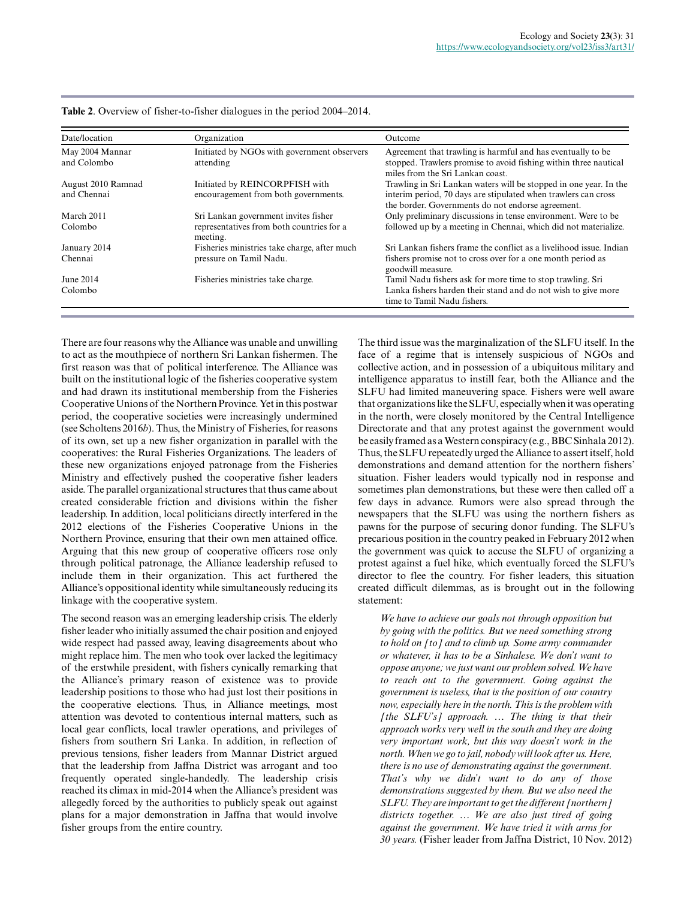| Date/location                     | Organization                                                           | Outcome                                                                                                                                                                                  |
|-----------------------------------|------------------------------------------------------------------------|------------------------------------------------------------------------------------------------------------------------------------------------------------------------------------------|
| May 2004 Mannar<br>and Colombo    | Initiated by NGOs with government observers<br>attending               | Agreement that trawling is harmful and has eventually to be<br>stopped. Trawlers promise to avoid fishing within three nautical<br>miles from the Sri Lankan coast.                      |
| August 2010 Ramnad<br>and Chennai | Initiated by REINCORPFISH with<br>encouragement from both governments. | Trawling in Sri Lankan waters will be stopped in one year. In the<br>interim period, 70 days are stipulated when trawlers can cross<br>the border. Governments do not endorse agreement. |
| March 2011                        | Sri Lankan government invites fisher                                   | Only preliminary discussions in tense environment. Were to be                                                                                                                            |
| Colombo                           | representatives from both countries for a<br>meeting.                  | followed up by a meeting in Chennai, which did not materialize.                                                                                                                          |
| January 2014                      | Fisheries ministries take charge, after much                           | Sri Lankan fishers frame the conflict as a livelihood issue. Indian                                                                                                                      |
| Chennai                           | pressure on Tamil Nadu.                                                | fishers promise not to cross over for a one month period as<br>goodwill measure.                                                                                                         |
| June 2014                         | Fisheries ministries take charge.                                      | Tamil Nadu fishers ask for more time to stop trawling. Sri                                                                                                                               |
| Colombo                           |                                                                        | Lanka fishers harden their stand and do not wish to give more<br>time to Tamil Nadu fishers.                                                                                             |

**Table 2**. Overview of fisher-to-fisher dialogues in the period 2004–2014.

There are four reasons why the Alliance was unable and unwilling to act as the mouthpiece of northern Sri Lankan fishermen. The first reason was that of political interference. The Alliance was built on the institutional logic of the fisheries cooperative system and had drawn its institutional membership from the Fisheries Cooperative Unions of the Northern Province. Yet in this postwar period, the cooperative societies were increasingly undermined (see Scholtens 2016*b*). Thus, the Ministry of Fisheries, for reasons of its own, set up a new fisher organization in parallel with the cooperatives: the Rural Fisheries Organizations. The leaders of these new organizations enjoyed patronage from the Fisheries Ministry and effectively pushed the cooperative fisher leaders aside. The parallel organizational structures that thus came about created considerable friction and divisions within the fisher leadership. In addition, local politicians directly interfered in the 2012 elections of the Fisheries Cooperative Unions in the Northern Province, ensuring that their own men attained office. Arguing that this new group of cooperative officers rose only through political patronage, the Alliance leadership refused to include them in their organization. This act furthered the Alliance's oppositional identity while simultaneously reducing its linkage with the cooperative system.

The second reason was an emerging leadership crisis. The elderly fisher leader who initially assumed the chair position and enjoyed wide respect had passed away, leaving disagreements about who might replace him. The men who took over lacked the legitimacy of the erstwhile president, with fishers cynically remarking that the Alliance's primary reason of existence was to provide leadership positions to those who had just lost their positions in the cooperative elections. Thus, in Alliance meetings, most attention was devoted to contentious internal matters, such as local gear conflicts, local trawler operations, and privileges of fishers from southern Sri Lanka. In addition, in reflection of previous tensions, fisher leaders from Mannar District argued that the leadership from Jaffna District was arrogant and too frequently operated single-handedly. The leadership crisis reached its climax in mid-2014 when the Alliance's president was allegedly forced by the authorities to publicly speak out against plans for a major demonstration in Jaffna that would involve fisher groups from the entire country.

The third issue was the marginalization of the SLFU itself. In the face of a regime that is intensely suspicious of NGOs and collective action, and in possession of a ubiquitous military and intelligence apparatus to instill fear, both the Alliance and the SLFU had limited maneuvering space. Fishers were well aware that organizations like the SLFU, especially when it was operating in the north, were closely monitored by the Central Intelligence Directorate and that any protest against the government would be easily framed as a Western conspiracy (e.g., BBC Sinhala 2012). Thus, the SLFU repeatedly urged the Alliance to assert itself, hold demonstrations and demand attention for the northern fishers' situation. Fisher leaders would typically nod in response and sometimes plan demonstrations, but these were then called off a few days in advance. Rumors were also spread through the newspapers that the SLFU was using the northern fishers as pawns for the purpose of securing donor funding. The SLFU's precarious position in the country peaked in February 2012 when the government was quick to accuse the SLFU of organizing a protest against a fuel hike, which eventually forced the SLFU's director to flee the country. For fisher leaders, this situation created difficult dilemmas, as is brought out in the following statement:

*We have to achieve our goals not through opposition but by going with the politics. But we need something strong to hold on [to] and to climb up. Some army commander or whatever, it has to be a Sinhalese. We don't want to oppose anyone; we just want our problem solved. We have to reach out to the government. Going against the government is useless, that is the position of our country now, especially here in the north. This is the problem with [the SLFU's] approach. … The thing is that their approach works very well in the south and they are doing very important work, but this way doesn't work in the north. When we go to jail, nobody will look after us. Here, there is no use of demonstrating against the government. That's why we didn't want to do any of those demonstrations suggested by them. But we also need the SLFU. They are important to get the different [northern] districts together. … We are also just tired of going against the government. We have tried it with arms for 30 years.* (Fisher leader from Jaffna District, 10 Nov. 2012)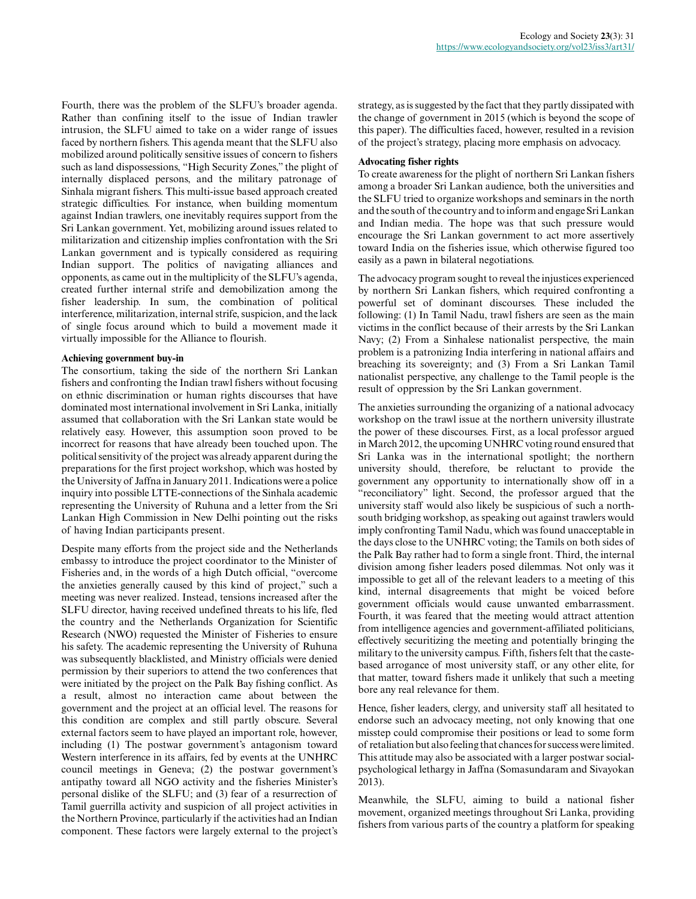Fourth, there was the problem of the SLFU's broader agenda. Rather than confining itself to the issue of Indian trawler intrusion, the SLFU aimed to take on a wider range of issues faced by northern fishers. This agenda meant that the SLFU also mobilized around politically sensitive issues of concern to fishers such as land dispossessions, "High Security Zones," the plight of internally displaced persons, and the military patronage of Sinhala migrant fishers. This multi-issue based approach created strategic difficulties. For instance, when building momentum against Indian trawlers, one inevitably requires support from the Sri Lankan government. Yet, mobilizing around issues related to militarization and citizenship implies confrontation with the Sri Lankan government and is typically considered as requiring Indian support. The politics of navigating alliances and opponents, as came out in the multiplicity of the SLFU's agenda, created further internal strife and demobilization among the fisher leadership. In sum, the combination of political interference, militarization, internal strife, suspicion, and the lack of single focus around which to build a movement made it virtually impossible for the Alliance to flourish.

#### **Achieving government buy-in**

The consortium, taking the side of the northern Sri Lankan fishers and confronting the Indian trawl fishers without focusing on ethnic discrimination or human rights discourses that have dominated most international involvement in Sri Lanka, initially assumed that collaboration with the Sri Lankan state would be relatively easy. However, this assumption soon proved to be incorrect for reasons that have already been touched upon. The political sensitivity of the project was already apparent during the preparations for the first project workshop, which was hosted by the University of Jaffna in January 2011. Indications were a police inquiry into possible LTTE-connections of the Sinhala academic representing the University of Ruhuna and a letter from the Sri Lankan High Commission in New Delhi pointing out the risks of having Indian participants present.

Despite many efforts from the project side and the Netherlands embassy to introduce the project coordinator to the Minister of Fisheries and, in the words of a high Dutch official, "overcome the anxieties generally caused by this kind of project," such a meeting was never realized. Instead, tensions increased after the SLFU director, having received undefined threats to his life, fled the country and the Netherlands Organization for Scientific Research (NWO) requested the Minister of Fisheries to ensure his safety. The academic representing the University of Ruhuna was subsequently blacklisted, and Ministry officials were denied permission by their superiors to attend the two conferences that were initiated by the project on the Palk Bay fishing conflict. As a result, almost no interaction came about between the government and the project at an official level. The reasons for this condition are complex and still partly obscure. Several external factors seem to have played an important role, however, including (1) The postwar government's antagonism toward Western interference in its affairs, fed by events at the UNHRC council meetings in Geneva; (2) the postwar government's antipathy toward all NGO activity and the fisheries Minister's personal dislike of the SLFU; and (3) fear of a resurrection of Tamil guerrilla activity and suspicion of all project activities in the Northern Province, particularly if the activities had an Indian component. These factors were largely external to the project's

strategy, as is suggested by the fact that they partly dissipated with the change of government in 2015 (which is beyond the scope of this paper). The difficulties faced, however, resulted in a revision of the project's strategy, placing more emphasis on advocacy.

#### **Advocating fisher rights**

To create awareness for the plight of northern Sri Lankan fishers among a broader Sri Lankan audience, both the universities and the SLFU tried to organize workshops and seminars in the north and the south of the country and to inform and engage Sri Lankan and Indian media. The hope was that such pressure would encourage the Sri Lankan government to act more assertively toward India on the fisheries issue, which otherwise figured too easily as a pawn in bilateral negotiations.

The advocacy program sought to reveal the injustices experienced by northern Sri Lankan fishers, which required confronting a powerful set of dominant discourses. These included the following: (1) In Tamil Nadu, trawl fishers are seen as the main victims in the conflict because of their arrests by the Sri Lankan Navy; (2) From a Sinhalese nationalist perspective, the main problem is a patronizing India interfering in national affairs and breaching its sovereignty; and (3) From a Sri Lankan Tamil nationalist perspective, any challenge to the Tamil people is the result of oppression by the Sri Lankan government.

The anxieties surrounding the organizing of a national advocacy workshop on the trawl issue at the northern university illustrate the power of these discourses. First, as a local professor argued in March 2012, the upcoming UNHRC voting round ensured that Sri Lanka was in the international spotlight; the northern university should, therefore, be reluctant to provide the government any opportunity to internationally show off in a "reconciliatory" light. Second, the professor argued that the university staff would also likely be suspicious of such a northsouth bridging workshop, as speaking out against trawlers would imply confronting Tamil Nadu, which was found unacceptable in the days close to the UNHRC voting; the Tamils on both sides of the Palk Bay rather had to form a single front. Third, the internal division among fisher leaders posed dilemmas. Not only was it impossible to get all of the relevant leaders to a meeting of this kind, internal disagreements that might be voiced before government officials would cause unwanted embarrassment. Fourth, it was feared that the meeting would attract attention from intelligence agencies and government-affiliated politicians, effectively securitizing the meeting and potentially bringing the military to the university campus. Fifth, fishers felt that the castebased arrogance of most university staff, or any other elite, for that matter, toward fishers made it unlikely that such a meeting bore any real relevance for them.

Hence, fisher leaders, clergy, and university staff all hesitated to endorse such an advocacy meeting, not only knowing that one misstep could compromise their positions or lead to some form of retaliation but also feeling that chances for success were limited. This attitude may also be associated with a larger postwar socialpsychological lethargy in Jaffna (Somasundaram and Sivayokan 2013).

Meanwhile, the SLFU, aiming to build a national fisher movement, organized meetings throughout Sri Lanka, providing fishers from various parts of the country a platform for speaking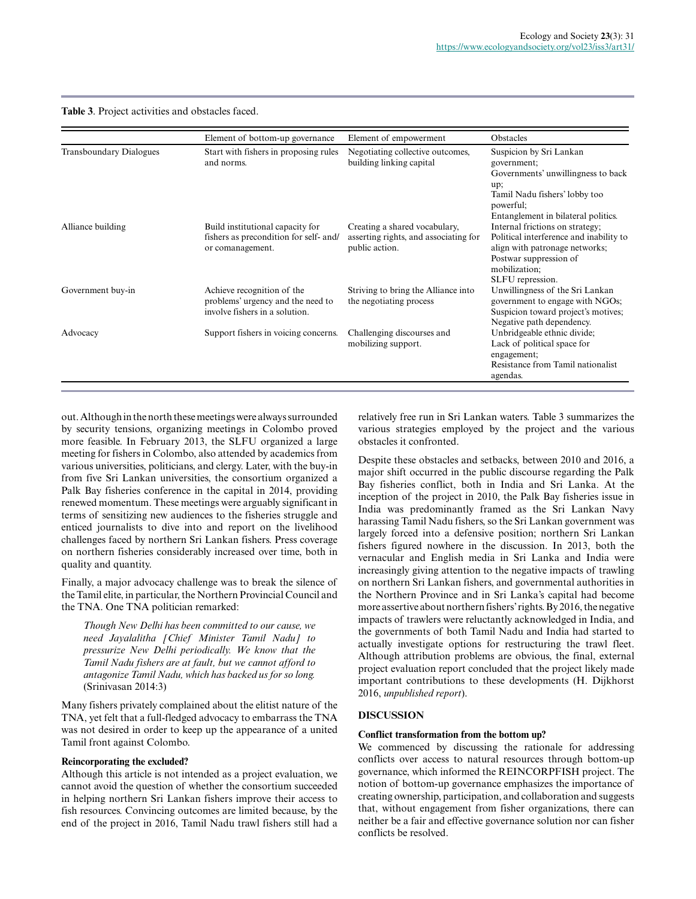**Table 3**. Project activities and obstacles faced.

|                                | Element of bottom-up governance                                                                   | Element of empowerment                                                                   | Obstacles                                                                                                                                                                   |
|--------------------------------|---------------------------------------------------------------------------------------------------|------------------------------------------------------------------------------------------|-----------------------------------------------------------------------------------------------------------------------------------------------------------------------------|
| <b>Transboundary Dialogues</b> | Start with fishers in proposing rules<br>and norms.                                               | Negotiating collective outcomes,<br>building linking capital                             | Suspicion by Sri Lankan<br>government:<br>Governments' unwillingness to back<br>up;<br>Tamil Nadu fishers' lobby too<br>powerful:<br>Entanglement in bilateral politics.    |
| Alliance building              | Build institutional capacity for<br>fishers as precondition for self- and/<br>or comanagement.    | Creating a shared vocabulary,<br>asserting rights, and associating for<br>public action. | Internal frictions on strategy;<br>Political interference and inability to<br>align with patronage networks;<br>Postwar suppression of<br>mobilization;<br>SLFU repression. |
| Government buy-in              | Achieve recognition of the<br>problems' urgency and the need to<br>involve fishers in a solution. | Striving to bring the Alliance into<br>the negotiating process                           | Unwillingness of the Sri Lankan<br>government to engage with NGOs;<br>Suspicion toward project's motives;<br>Negative path dependency.                                      |
| Advocacy                       | Support fishers in voicing concerns.                                                              | Challenging discourses and<br>mobilizing support.                                        | Unbridgeable ethnic divide;<br>Lack of political space for<br>engagement;<br>Resistance from Tamil nationalist<br>agendas.                                                  |

out. Although in the north these meetings were always surrounded by security tensions, organizing meetings in Colombo proved more feasible. In February 2013, the SLFU organized a large meeting for fishers in Colombo, also attended by academics from various universities, politicians, and clergy. Later, with the buy-in from five Sri Lankan universities, the consortium organized a Palk Bay fisheries conference in the capital in 2014, providing renewed momentum. These meetings were arguably significant in terms of sensitizing new audiences to the fisheries struggle and enticed journalists to dive into and report on the livelihood challenges faced by northern Sri Lankan fishers. Press coverage on northern fisheries considerably increased over time, both in quality and quantity.

Finally, a major advocacy challenge was to break the silence of the Tamil elite, in particular, the Northern Provincial Council and the TNA. One TNA politician remarked:

*Though New Delhi has been committed to our cause, we need Jayalalitha [Chief Minister Tamil Nadu] to pressurize New Delhi periodically. We know that the Tamil Nadu fishers are at fault, but we cannot afford to antagonize Tamil Nadu, which has backed us for so long.* (Srinivasan 2014:3)

Many fishers privately complained about the elitist nature of the TNA, yet felt that a full-fledged advocacy to embarrass the TNA was not desired in order to keep up the appearance of a united Tamil front against Colombo.

## **Reincorporating the excluded?**

Although this article is not intended as a project evaluation, we cannot avoid the question of whether the consortium succeeded in helping northern Sri Lankan fishers improve their access to fish resources. Convincing outcomes are limited because, by the end of the project in 2016, Tamil Nadu trawl fishers still had a relatively free run in Sri Lankan waters. Table 3 summarizes the various strategies employed by the project and the various obstacles it confronted.

Despite these obstacles and setbacks, between 2010 and 2016, a major shift occurred in the public discourse regarding the Palk Bay fisheries conflict, both in India and Sri Lanka. At the inception of the project in 2010, the Palk Bay fisheries issue in India was predominantly framed as the Sri Lankan Navy harassing Tamil Nadu fishers, so the Sri Lankan government was largely forced into a defensive position; northern Sri Lankan fishers figured nowhere in the discussion. In 2013, both the vernacular and English media in Sri Lanka and India were increasingly giving attention to the negative impacts of trawling on northern Sri Lankan fishers, and governmental authorities in the Northern Province and in Sri Lanka's capital had become more assertive about northern fishers' rights. By 2016, the negative impacts of trawlers were reluctantly acknowledged in India, and the governments of both Tamil Nadu and India had started to actually investigate options for restructuring the trawl fleet. Although attribution problems are obvious, the final, external project evaluation report concluded that the project likely made important contributions to these developments (H. Dijkhorst 2016, *unpublished report*).

## **DISCUSSION**

#### **Conflict transformation from the bottom up?**

We commenced by discussing the rationale for addressing conflicts over access to natural resources through bottom-up governance, which informed the REINCORPFISH project. The notion of bottom-up governance emphasizes the importance of creating ownership, participation, and collaboration and suggests that, without engagement from fisher organizations, there can neither be a fair and effective governance solution nor can fisher conflicts be resolved.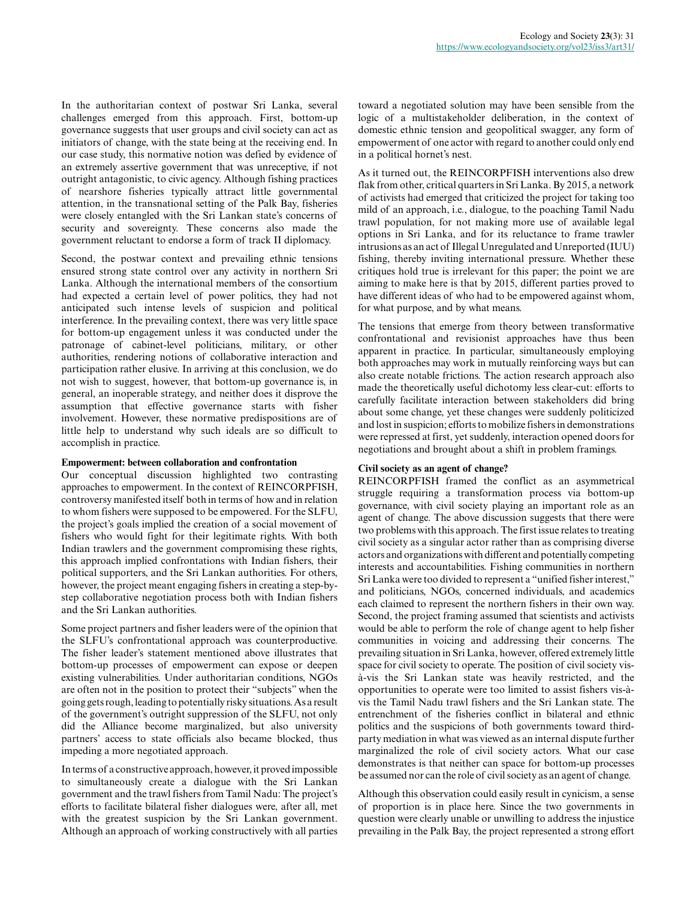In the authoritarian context of postwar Sri Lanka, several challenges emerged from this approach. First, bottom-up governance suggests that user groups and civil society can act as initiators of change, with the state being at the receiving end. In our case study, this normative notion was defied by evidence of an extremely assertive government that was unreceptive, if not outright antagonistic, to civic agency. Although fishing practices of nearshore fisheries typically attract little governmental attention, in the transnational setting of the Palk Bay, fisheries were closely entangled with the Sri Lankan state's concerns of security and sovereignty. These concerns also made the government reluctant to endorse a form of track II diplomacy.

Second, the postwar context and prevailing ethnic tensions ensured strong state control over any activity in northern Sri Lanka. Although the international members of the consortium had expected a certain level of power politics, they had not anticipated such intense levels of suspicion and political interference. In the prevailing context, there was very little space for bottom-up engagement unless it was conducted under the patronage of cabinet-level politicians, military, or other authorities, rendering notions of collaborative interaction and participation rather elusive. In arriving at this conclusion, we do not wish to suggest, however, that bottom-up governance is, in general, an inoperable strategy, and neither does it disprove the assumption that effective governance starts with fisher involvement. However, these normative predispositions are of little help to understand why such ideals are so difficult to accomplish in practice.

## **Empowerment: between collaboration and confrontation**

Our conceptual discussion highlighted two contrasting approaches to empowerment. In the context of REINCORPFISH, controversy manifested itself both in terms of how and in relation to whom fishers were supposed to be empowered. For the SLFU, the project's goals implied the creation of a social movement of fishers who would fight for their legitimate rights. With both Indian trawlers and the government compromising these rights, this approach implied confrontations with Indian fishers, their political supporters, and the Sri Lankan authorities. For others, however, the project meant engaging fishers in creating a step-bystep collaborative negotiation process both with Indian fishers and the Sri Lankan authorities.

Some project partners and fisher leaders were of the opinion that the SLFU's confrontational approach was counterproductive. The fisher leader's statement mentioned above illustrates that bottom-up processes of empowerment can expose or deepen existing vulnerabilities. Under authoritarian conditions, NGOs are often not in the position to protect their "subjects" when the going gets rough, leading to potentially risky situations. As a result of the government's outright suppression of the SLFU, not only did the Alliance become marginalized, but also university partners' access to state officials also became blocked, thus impeding a more negotiated approach.

In terms of a constructive approach, however, it proved impossible to simultaneously create a dialogue with the Sri Lankan government and the trawl fishers from Tamil Nadu: The project's efforts to facilitate bilateral fisher dialogues were, after all, met with the greatest suspicion by the Sri Lankan government. Although an approach of working constructively with all parties

toward a negotiated solution may have been sensible from the logic of a multistakeholder deliberation, in the context of domestic ethnic tension and geopolitical swagger, any form of empowerment of one actor with regard to another could only end in a political hornet's nest.

As it turned out, the REINCORPFISH interventions also drew flak from other, critical quarters in Sri Lanka. By 2015, a network of activists had emerged that criticized the project for taking too mild of an approach, i.e., dialogue, to the poaching Tamil Nadu trawl population, for not making more use of available legal options in Sri Lanka, and for its reluctance to frame trawler intrusions as an act of Illegal Unregulated and Unreported (IUU) fishing, thereby inviting international pressure. Whether these critiques hold true is irrelevant for this paper; the point we are aiming to make here is that by 2015, different parties proved to have different ideas of who had to be empowered against whom, for what purpose, and by what means.

The tensions that emerge from theory between transformative confrontational and revisionist approaches have thus been apparent in practice. In particular, simultaneously employing both approaches may work in mutually reinforcing ways but can also create notable frictions. The action research approach also made the theoretically useful dichotomy less clear-cut: efforts to carefully facilitate interaction between stakeholders did bring about some change, yet these changes were suddenly politicized and lost in suspicion; efforts to mobilize fishers in demonstrations were repressed at first, yet suddenly, interaction opened doors for negotiations and brought about a shift in problem framings.

## **Civil society as an agent of change?**

REINCORPFISH framed the conflict as an asymmetrical struggle requiring a transformation process via bottom-up governance, with civil society playing an important role as an agent of change. The above discussion suggests that there were two problems with this approach. The first issue relates to treating civil society as a singular actor rather than as comprising diverse actors and organizations with different and potentially competing interests and accountabilities. Fishing communities in northern Sri Lanka were too divided to represent a "unified fisher interest," and politicians, NGOs, concerned individuals, and academics each claimed to represent the northern fishers in their own way. Second, the project framing assumed that scientists and activists would be able to perform the role of change agent to help fisher communities in voicing and addressing their concerns. The prevailing situation in Sri Lanka, however, offered extremely little space for civil society to operate. The position of civil society visà-vis the Sri Lankan state was heavily restricted, and the opportunities to operate were too limited to assist fishers vis-àvis the Tamil Nadu trawl fishers and the Sri Lankan state. The entrenchment of the fisheries conflict in bilateral and ethnic politics and the suspicions of both governments toward thirdparty mediation in what was viewed as an internal dispute further marginalized the role of civil society actors. What our case demonstrates is that neither can space for bottom-up processes be assumed nor can the role of civil society as an agent of change.

Although this observation could easily result in cynicism, a sense of proportion is in place here. Since the two governments in question were clearly unable or unwilling to address the injustice prevailing in the Palk Bay, the project represented a strong effort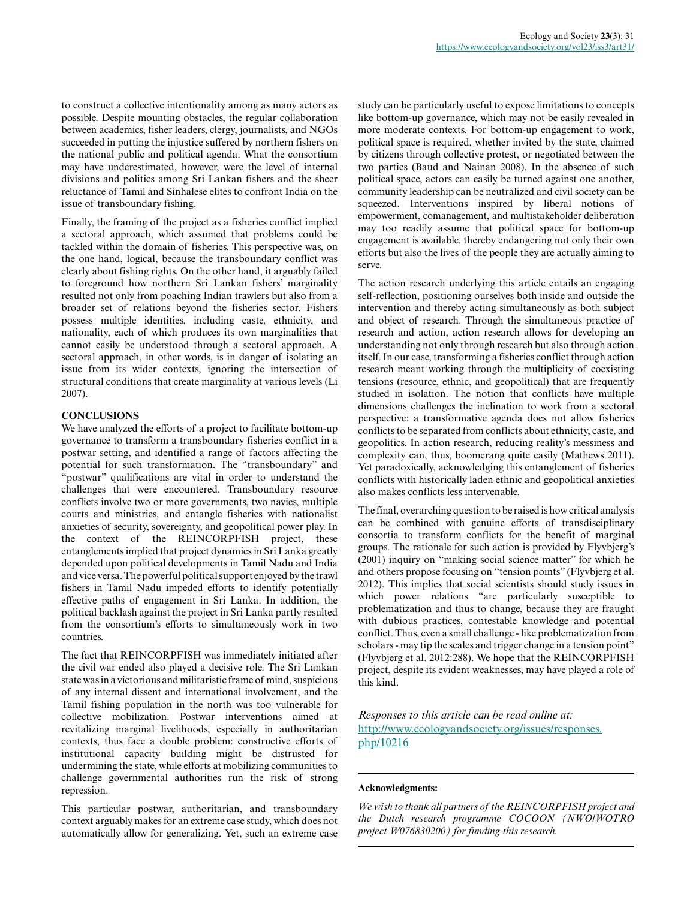to construct a collective intentionality among as many actors as possible. Despite mounting obstacles, the regular collaboration between academics, fisher leaders, clergy, journalists, and NGOs succeeded in putting the injustice suffered by northern fishers on the national public and political agenda. What the consortium may have underestimated, however, were the level of internal divisions and politics among Sri Lankan fishers and the sheer reluctance of Tamil and Sinhalese elites to confront India on the issue of transboundary fishing.

Finally, the framing of the project as a fisheries conflict implied a sectoral approach, which assumed that problems could be tackled within the domain of fisheries. This perspective was, on the one hand, logical, because the transboundary conflict was clearly about fishing rights. On the other hand, it arguably failed to foreground how northern Sri Lankan fishers' marginality resulted not only from poaching Indian trawlers but also from a broader set of relations beyond the fisheries sector. Fishers possess multiple identities, including caste, ethnicity, and nationality, each of which produces its own marginalities that cannot easily be understood through a sectoral approach. A sectoral approach, in other words, is in danger of isolating an issue from its wider contexts, ignoring the intersection of structural conditions that create marginality at various levels (Li 2007).

## **CONCLUSIONS**

We have analyzed the efforts of a project to facilitate bottom-up governance to transform a transboundary fisheries conflict in a postwar setting, and identified a range of factors affecting the potential for such transformation. The "transboundary" and "postwar" qualifications are vital in order to understand the challenges that were encountered. Transboundary resource conflicts involve two or more governments, two navies, multiple courts and ministries, and entangle fisheries with nationalist anxieties of security, sovereignty, and geopolitical power play. In the context of the REINCORPFISH project, these entanglements implied that project dynamics in Sri Lanka greatly depended upon political developments in Tamil Nadu and India and vice versa. The powerful political support enjoyed by the trawl fishers in Tamil Nadu impeded efforts to identify potentially effective paths of engagement in Sri Lanka. In addition, the political backlash against the project in Sri Lanka partly resulted from the consortium's efforts to simultaneously work in two countries.

The fact that REINCORPFISH was immediately initiated after the civil war ended also played a decisive role. The Sri Lankan state was in a victorious and militaristic frame of mind, suspicious of any internal dissent and international involvement, and the Tamil fishing population in the north was too vulnerable for collective mobilization. Postwar interventions aimed at revitalizing marginal livelihoods, especially in authoritarian contexts, thus face a double problem: constructive efforts of institutional capacity building might be distrusted for undermining the state, while efforts at mobilizing communities to challenge governmental authorities run the risk of strong repression.

This particular postwar, authoritarian, and transboundary context arguably makes for an extreme case study, which does not automatically allow for generalizing. Yet, such an extreme case

study can be particularly useful to expose limitations to concepts like bottom-up governance, which may not be easily revealed in more moderate contexts. For bottom-up engagement to work, political space is required, whether invited by the state, claimed by citizens through collective protest, or negotiated between the two parties (Baud and Nainan 2008). In the absence of such political space, actors can easily be turned against one another, community leadership can be neutralized and civil society can be squeezed. Interventions inspired by liberal notions of empowerment, comanagement, and multistakeholder deliberation may too readily assume that political space for bottom-up engagement is available, thereby endangering not only their own efforts but also the lives of the people they are actually aiming to serve.

The action research underlying this article entails an engaging self-reflection, positioning ourselves both inside and outside the intervention and thereby acting simultaneously as both subject and object of research. Through the simultaneous practice of research and action, action research allows for developing an understanding not only through research but also through action itself. In our case, transforming a fisheries conflict through action research meant working through the multiplicity of coexisting tensions (resource, ethnic, and geopolitical) that are frequently studied in isolation. The notion that conflicts have multiple dimensions challenges the inclination to work from a sectoral perspective: a transformative agenda does not allow fisheries conflicts to be separated from conflicts about ethnicity, caste, and geopolitics. In action research, reducing reality's messiness and complexity can, thus, boomerang quite easily (Mathews 2011). Yet paradoxically, acknowledging this entanglement of fisheries conflicts with historically laden ethnic and geopolitical anxieties also makes conflicts less intervenable.

The final, overarching question to be raised is how critical analysis can be combined with genuine efforts of transdisciplinary consortia to transform conflicts for the benefit of marginal groups. The rationale for such action is provided by Flyvbjerg's (2001) inquiry on "making social science matter" for which he and others propose focusing on "tension points" (Flyvbjerg et al. 2012). This implies that social scientists should study issues in which power relations "are particularly susceptible to problematization and thus to change, because they are fraught with dubious practices, contestable knowledge and potential conflict. Thus, even a small challenge - like problematization from scholars - may tip the scales and trigger change in a tension point" (Flyvbjerg et al. 2012:288). We hope that the REINCORPFISH project, despite its evident weaknesses, may have played a role of this kind.

*Responses to this article can be read online at:* [http://www.ecologyandsociety.org/issues/responses.](http://www.ecologyandsociety.org/issues/responses.php/10216) [php/10216](http://www.ecologyandsociety.org/issues/responses.php/10216)

#### **Acknowledgments:**

*We wish to thank all partners of the REINCORPFISH project and the Dutch research programme COCOON (NWO/WOTRO project W076830200) for funding this research.*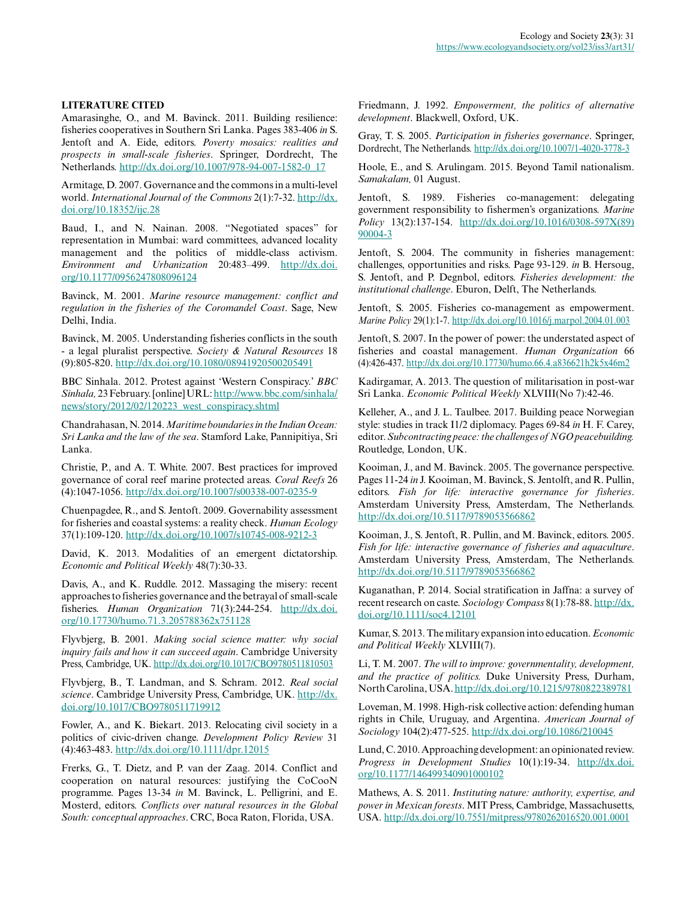#### **LITERATURE CITED**

Amarasinghe, O., and M. Bavinck. 2011. Building resilience: fisheries cooperatives in Southern Sri Lanka. Pages 383-406 *in* S. Jentoft and A. Eide, editors. *Poverty mosaics: realities and prospects in small-scale fisheries*. Springer, Dordrecht, The Netherlands. [http://dx.doi.org/10.1007/978-94-007-1582-0\\_17](http://dx.doi.org/10.1007%2F978-94-007-1582-0_17)

Armitage, D. 2007. Governance and the commons in a multi-level world. *International Journal of the Commons* 2(1):7-32. [http://dx.](http://dx.doi.org/10.18352%2Fijc.28) [doi.org/10.18352/ijc.28](http://dx.doi.org/10.18352%2Fijc.28) 

Baud, I., and N. Nainan. 2008. "Negotiated spaces" for representation in Mumbai: ward committees, advanced locality management and the politics of middle-class activism. *Environment and Urbanization* 20:483–499. [http://dx.doi.](http://dx.doi.org/10.1177/0956247808096124) [org/10.1177/0956247808096124](http://dx.doi.org/10.1177/0956247808096124)

Bavinck, M. 2001. *Marine resource management: conflict and regulation in the fisheries of the Coromandel Coast*. Sage, New Delhi, India.

Bavinck, M. 2005. Understanding fisheries conflicts in the south - a legal pluralist perspective. *Society & Natural Resources* 18 (9):805-820. [http://dx.doi.org/10.1080/08941920500205491](http://dx.doi.org/10.1080%2F08941920500205491)

BBC Sinhala. 2012. Protest against 'Western Conspiracy.' *BBC Sinhala,* 23 February. [online] URL: [http://www.bbc.com/sinhala/](http://www.bbc.com/sinhala/news/story/2012/02/120223_west_conspiracy.shtml) [news/story/2012/02/120223\\_west\\_conspiracy.shtml](http://www.bbc.com/sinhala/news/story/2012/02/120223_west_conspiracy.shtml) 

Chandrahasan, N. 2014. *Maritime boundaries in the Indian Ocean: Sri Lanka and the law of the sea*. Stamford Lake, Pannipitiya, Sri Lanka.

Christie, P., and A. T. White. 2007. Best practices for improved governance of coral reef marine protected areas. *Coral Reefs* 26 (4):1047-1056. [http://dx.doi.org/10.1007/s00338-007-0235-9](http://dx.doi.org/10.1007%2Fs00338-007-0235-9) 

Chuenpagdee, R., and S. Jentoft. 2009. Governability assessment for fisheries and coastal systems: a reality check. *Human Ecology* 37(1):109-120. [http://dx.doi.org/10.1007/s10745-008-9212-3](http://dx.doi.org/10.1007%2Fs10745-008-9212-3) 

David, K. 2013. Modalities of an emergent dictatorship. *Economic and Political Weekly* 48(7):30-33.

Davis, A., and K. Ruddle. 2012. Massaging the misery: recent approaches to fisheries governance and the betrayal of small-scale fisheries. *Human Organization* 71(3):244-254. [http://dx.doi.](http://dx.doi.org/10.17730%2Fhumo.71.3.205788362x751128) [org/10.17730/humo.71.3.205788362x751128](http://dx.doi.org/10.17730%2Fhumo.71.3.205788362x751128)

Flyvbjerg, B. 2001. *Making social science matter: why social inquiry fails and how it can succeed again*. Cambridge University Press, Cambridge, UK. [http://dx.doi.org/10.1017/CBO9780511810503](http://dx.doi.org/10.1017%2FCBO9780511810503) 

Flyvbjerg, B., T. Landman, and S. Schram. 2012. *Real social science*. Cambridge University Press, Cambridge, UK. [http://dx.](http://dx.doi.org/10.1017%2FCBO9780511719912) [doi.org/10.1017/CBO9780511719912](http://dx.doi.org/10.1017%2FCBO9780511719912) 

Fowler, A., and K. Biekart. 2013. Relocating civil society in a politics of civic-driven change. *Development Policy Review* 31 (4):463-483. [http://dx.doi.org/10.1111/dpr.12015](http://dx.doi.org/10.1111%2Fdpr.12015) 

Frerks, G., T. Dietz, and P. van der Zaag. 2014. Conflict and cooperation on natural resources: justifying the CoCooN programme. Pages 13-34 *in* M. Bavinck, L. Pelligrini, and E. Mosterd, editors. *Conflicts over natural resources in the Global South: conceptual approaches*. CRC, Boca Raton, Florida, USA.

Friedmann, J. 1992. *Empowerment, the politics of alternative development*. Blackwell, Oxford, UK.

Gray, T. S. 2005. *Participation in fisheries governance*. Springer, Dordrecht, The Netherlands. [http://dx.doi.org/10.1007/1-4020-3778-3](http://dx.doi.org/10.1007%2F1-4020-3778-3) 

Hoole, E., and S. Arulingam. 2015. Beyond Tamil nationalism. *Samakalam,* 01 August.

Jentoft, S. 1989. Fisheries co-management: delegating government responsibility to fishermen's organizations. *Marine Policy* 13(2):137-154. [http://dx.doi.org/10.1016/0308-597X\(89\)](http://dx.doi.org/10.1016%2F0308-597X%2889%2990004-3) [90004-3](http://dx.doi.org/10.1016%2F0308-597X%2889%2990004-3) 

Jentoft, S. 2004. The community in fisheries management: challenges, opportunities and risks. Page 93-129. *in* B. Hersoug, S. Jentoft, and P. Degnbol, editors. *Fisheries development: the institutional challenge*. Eburon, Delft, The Netherlands.

Jentoft, S. 2005. Fisheries co-management as empowerment. *Marine Policy* 29(1):1-7. [http://dx.doi.org/10.1016/j.marpol.2004.01.003](http://dx.doi.org/10.1016%2Fj.marpol.2004.01.003)

Jentoft, S. 2007. In the power of power: the understated aspect of fisheries and coastal management. *Human Organization* 66 (4):426-437. [http://dx.doi.org/10.17730/humo.66.4.a836621h2k5x46m2](http://dx.doi.org/10.17730%2Fhumo.66.4.a836621h2k5x46m2) 

Kadirgamar, A. 2013. The question of militarisation in post-war Sri Lanka. *Economic Political Weekly* XLVIII(No 7):42-46.

Kelleher, A., and J. L. Taulbee. 2017. Building peace Norwegian style: studies in track I1/2 diplomacy. Pages 69-84 *in* H. F. Carey, editor. *Subcontracting peace: the challenges of NGO peacebuilding.* Routledge, London, UK.

Kooiman, J., and M. Bavinck. 2005. The governance perspective. Pages 11-24 *in* J. Kooiman, M. Bavinck, S. Jentolft, and R. Pullin, editors. *Fish for life: interactive governance for fisheries*. Amsterdam University Press, Amsterdam, The Netherlands. [http://dx.doi.org/10.5117/9789053566862](http://dx.doi.org/10.5117%2F9789053566862) 

Kooiman, J., S. Jentoft, R. Pullin, and M. Bavinck, editors. 2005. *Fish for life: interactive governance of fisheries and aquaculture*. Amsterdam University Press, Amsterdam, The Netherlands. <http://dx.doi.org/10.5117/9789053566862>

Kuganathan, P. 2014. Social stratification in Jaffna: a survey of recent research on caste. *Sociology Compass* 8(1):78-88. [http://dx.](http://dx.doi.org/10.1111%2Fsoc4.12101) [doi.org/10.1111/soc4.12101](http://dx.doi.org/10.1111%2Fsoc4.12101) 

Kumar, S. 2013. The military expansion into education. *Economic and Political Weekly* XLVIII(7).

Li, T. M. 2007. *The will to improve: governmentality, development, and the practice of politics.* Duke University Press, Durham, North Carolina, USA. [http://dx.doi.org/10.1215/9780822389781](http://dx.doi.org/10.1215%2F9780822389781) 

Loveman, M. 1998. High-risk collective action: defending human rights in Chile, Uruguay, and Argentina. *American Journal of Sociology* 104(2):477-525. [http://dx.doi.org/10.1086/210045](http://dx.doi.org/10.1086%2F210045)

Lund, C. 2010. Approaching development: an opinionated review. *Progress in Development Studies* 10(1):19-34. [http://dx.doi.](http://dx.doi.org/10.1177%2F146499340901000102) [org/10.1177/146499340901000102](http://dx.doi.org/10.1177%2F146499340901000102)

Mathews, A. S. 2011. *Instituting nature: authority, expertise, and power in Mexican forests*. MIT Press, Cambridge, Massachusetts, USA. [http://dx.doi.org/10.7551/mitpress/9780262016520.001.0001](http://dx.doi.org/10.7551%2Fmitpress%2F9780262016520.001.0001)